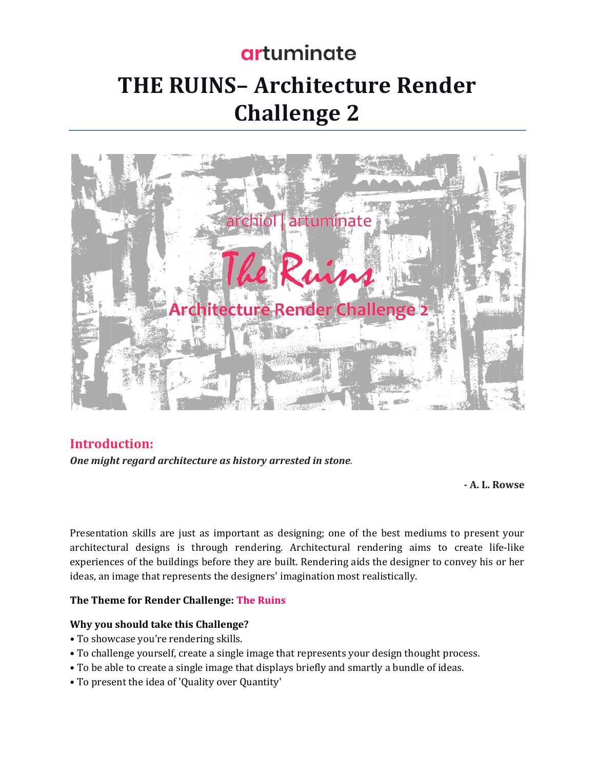# artuminate **THE RUINS-Architecture Render Challenge 2**



#### **Introduction:**

One might regard architecture as history arrested in stone.

- A. L. Rowse

Presentation skills are just as important as designing; one of the best mediums to present your architectural designs is through rendering. Architectural rendering aims to create life-like experiences of the buildings before they are built. Rendering aids the designer to convey his or her ideas, an image that represents the designers' imagination most realistically.

#### The Theme for Render Challenge: The Ruins

#### Why you should take this Challenge?

- To showcase you're rendering skills.
- To challenge yourself, create a single image that represents your design thought process.
- To be able to create a single image that displays briefly and smartly a bundle of ideas.
- To present the idea of 'Quality over Quantity'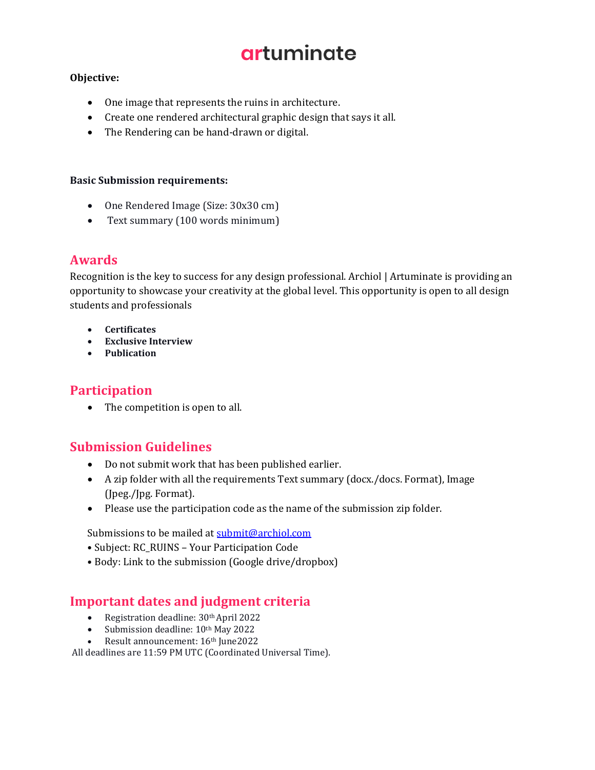## artuminate

#### Objective:

- One image that represents the ruins in architecture.
- Create one rendered architectural graphic design that says it all.
- The Rendering can be hand-drawn or digital.

#### **Basic Submission requirements:**

- One Rendered Image (Size: 30x30 cm)
- Text summary (100 words minimum)

## **Awards**

Recognition is the key to success for any design professional. Archiol | Artuminate is providing an opportunity to showcase your creativity at the global level. This opportunity is open to all design students and professionals

- **Certificates**
- Exclusive Interview
- Publication

## **Participation**

• The competition is open to all.

## **Submission Guidelines**

- Do not submit work that has been published earlier.
- A zip folder with all the requirements Text summary (docx./docs. Format), Image (Jpeg./Jpg. Format).
- Please use the participation code as the name of the submission zip folder.

Submissions to be mailed at submit@archiol.com

- Subject: RC\_RUINS Your Participation Code
- · Body: Link to the submission (Google drive/dropbox)

## **Important dates and judgment criteria**

- Registration deadline: 30th April 2022
- Submission deadline:  $10<sup>th</sup>$  May 2022
- Result announcement: 16th June2022

All deadlines are 11:59 PM UTC (Coordinated Universal Time).